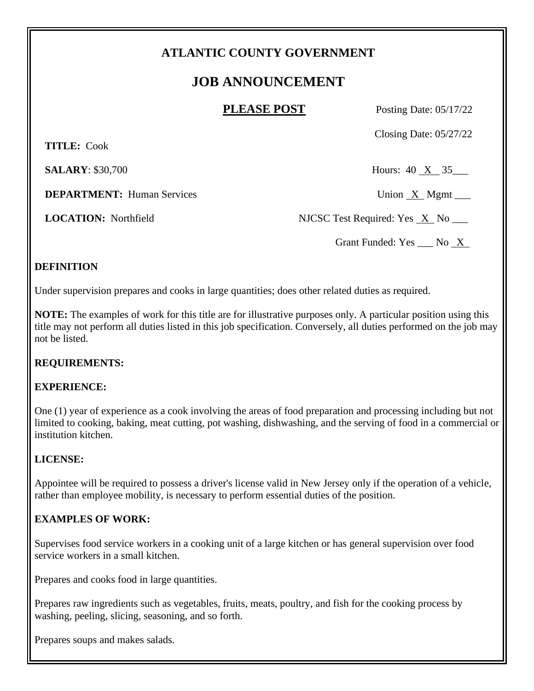## **ATLANTIC COUNTY GOVERNMENT**

# **JOB ANNOUNCEMENT**

**PLEASE POST** Posting Date: 05/17/22

Closing Date: 05/27/22

 **TITLE:** Cook

**SALARY**: \$30,700 Hours: 40 X 35

**DEPARTMENT:** Human Services Union X Mgmt \_\_\_

**LOCATION:** Northfield NJCSC Test Required: Yes X No

Grant Funded: Yes \_\_\_ No <u>X</u>

### **DEFINITION**

Under supervision prepares and cooks in large quantities; does other related duties as required.

**NOTE:** The examples of work for this title are for illustrative purposes only. A particular position using this title may not perform all duties listed in this job specification. Conversely, all duties performed on the job may not be listed.

### **REQUIREMENTS:**

### **EXPERIENCE:**

One (1) year of experience as a cook involving the areas of food preparation and processing including but not limited to cooking, baking, meat cutting, pot washing, dishwashing, and the serving of food in a commercial or institution kitchen.

### **LICENSE:**

Appointee will be required to possess a driver's license valid in New Jersey only if the operation of a vehicle, rather than employee mobility, is necessary to perform essential duties of the position.

### **EXAMPLES OF WORK:**

Supervises food service workers in a cooking unit of a large kitchen or has general supervision over food service workers in a small kitchen.

Prepares and cooks food in large quantities.

Prepares raw ingredients such as vegetables, fruits, meats, poultry, and fish for the cooking process by washing, peeling, slicing, seasoning, and so forth.

Prepares soups and makes salads.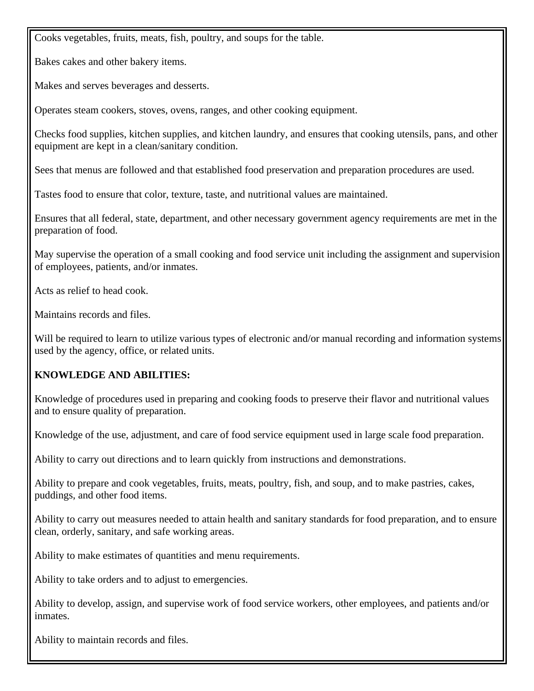Cooks vegetables, fruits, meats, fish, poultry, and soups for the table.

Bakes cakes and other bakery items.

Makes and serves beverages and desserts.

Operates steam cookers, stoves, ovens, ranges, and other cooking equipment.

Checks food supplies, kitchen supplies, and kitchen laundry, and ensures that cooking utensils, pans, and other equipment are kept in a clean/sanitary condition.

Sees that menus are followed and that established food preservation and preparation procedures are used.

Tastes food to ensure that color, texture, taste, and nutritional values are maintained.

Ensures that all federal, state, department, and other necessary government agency requirements are met in the preparation of food.

May supervise the operation of a small cooking and food service unit including the assignment and supervision of employees, patients, and/or inmates.

Acts as relief to head cook.

Maintains records and files.

Will be required to learn to utilize various types of electronic and/or manual recording and information systems used by the agency, office, or related units.

### **KNOWLEDGE AND ABILITIES:**

Knowledge of procedures used in preparing and cooking foods to preserve their flavor and nutritional values and to ensure quality of preparation.

Knowledge of the use, adjustment, and care of food service equipment used in large scale food preparation.

Ability to carry out directions and to learn quickly from instructions and demonstrations.

Ability to prepare and cook vegetables, fruits, meats, poultry, fish, and soup, and to make pastries, cakes, puddings, and other food items.

Ability to carry out measures needed to attain health and sanitary standards for food preparation, and to ensure clean, orderly, sanitary, and safe working areas.

Ability to make estimates of quantities and menu requirements.

Ability to take orders and to adjust to emergencies.

Ability to develop, assign, and supervise work of food service workers, other employees, and patients and/or inmates.

Ability to maintain records and files.